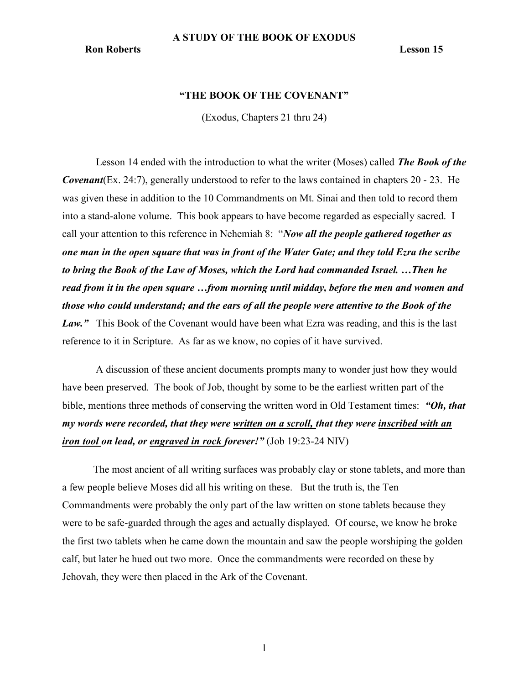# "THE BOOK OF THE COVENANT"

(Exodus, Chapters 21 thru 24)

Lesson 14 ended with the introduction to what the writer (Moses) called **The Book of the Covenant**(Ex. 24:7), generally understood to refer to the laws contained in chapters  $20 - 23$ . He was given these in addition to the 10 Commandments on Mt. Sinai and then told to record them into a stand-alone volume. This book appears to have become regarded as especially sacred. I call your attention to this reference in Nehemiah 8: "Now all the people gathered together as one man in the open square that was in front of the Water Gate; and they told Ezra the scribe to bring the Book of the Law of Moses, which the Lord had commanded Israel. …Then he read from it in the open square …from morning until midday, before the men and women and those who could understand; and the ears of all the people were attentive to the Book of the Law." This Book of the Covenant would have been what Ezra was reading, and this is the last reference to it in Scripture. As far as we know, no copies of it have survived.

 A discussion of these ancient documents prompts many to wonder just how they would have been preserved. The book of Job, thought by some to be the earliest written part of the bible, mentions three methods of conserving the written word in Old Testament times: "Oh, that my words were recorded, that they were written on a scroll, that they were inscribed with an iron tool on lead, or engraved in rock forever!" (Job 19:23-24 NIV)

The most ancient of all writing surfaces was probably clay or stone tablets, and more than a few people believe Moses did all his writing on these. But the truth is, the Ten Commandments were probably the only part of the law written on stone tablets because they were to be safe-guarded through the ages and actually displayed. Of course, we know he broke the first two tablets when he came down the mountain and saw the people worshiping the golden calf, but later he hued out two more. Once the commandments were recorded on these by Jehovah, they were then placed in the Ark of the Covenant.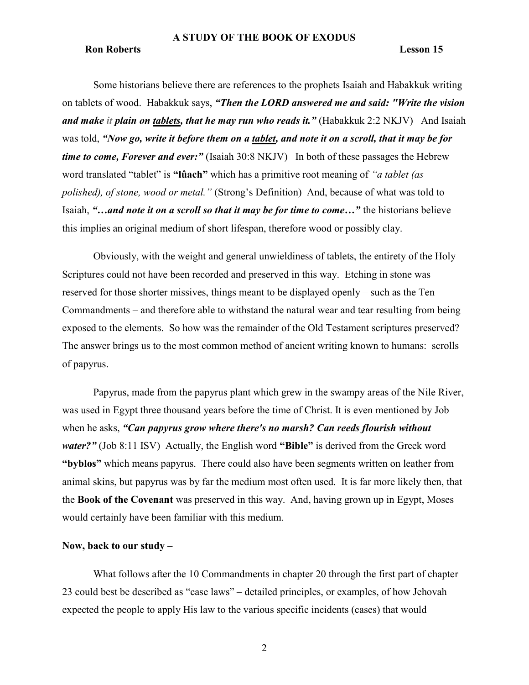#### **Ron Roberts** Lesson 15

Some historians believe there are references to the prophets Isaiah and Habakkuk writing on tablets of wood. Habakkuk says, "Then the LORD answered me and said: "Write the vision and make it plain on tablets, that he may run who reads it." (Habakkuk 2:2 NKJV) And Isaiah was told, "Now go, write it before them on a tablet, and note it on a scroll, that it may be for time to come, Forever and ever:" (Isaiah 30:8 NKJV) In both of these passages the Hebrew word translated "tablet" is "lûach" which has a primitive root meaning of "*a tablet (as* polished), of stone, wood or metal." (Strong's Definition) And, because of what was told to Isaiah, "…and note it on a scroll so that it may be for time to come…" the historians believe this implies an original medium of short lifespan, therefore wood or possibly clay.

Obviously, with the weight and general unwieldiness of tablets, the entirety of the Holy Scriptures could not have been recorded and preserved in this way. Etching in stone was reserved for those shorter missives, things meant to be displayed openly – such as the Ten Commandments – and therefore able to withstand the natural wear and tear resulting from being exposed to the elements. So how was the remainder of the Old Testament scriptures preserved? The answer brings us to the most common method of ancient writing known to humans: scrolls of papyrus.

Papyrus, made from the papyrus plant which grew in the swampy areas of the Nile River, was used in Egypt three thousand years before the time of Christ. It is even mentioned by Job when he asks, "Can papyrus grow where there's no marsh? Can reeds flourish without water?" (Job 8:11 ISV) Actually, the English word "Bible" is derived from the Greek word "byblos" which means papyrus. There could also have been segments written on leather from animal skins, but papyrus was by far the medium most often used. It is far more likely then, that the Book of the Covenant was preserved in this way. And, having grown up in Egypt, Moses would certainly have been familiar with this medium.

#### Now, back to our study –

What follows after the 10 Commandments in chapter 20 through the first part of chapter 23 could best be described as "case laws" – detailed principles, or examples, of how Jehovah expected the people to apply His law to the various specific incidents (cases) that would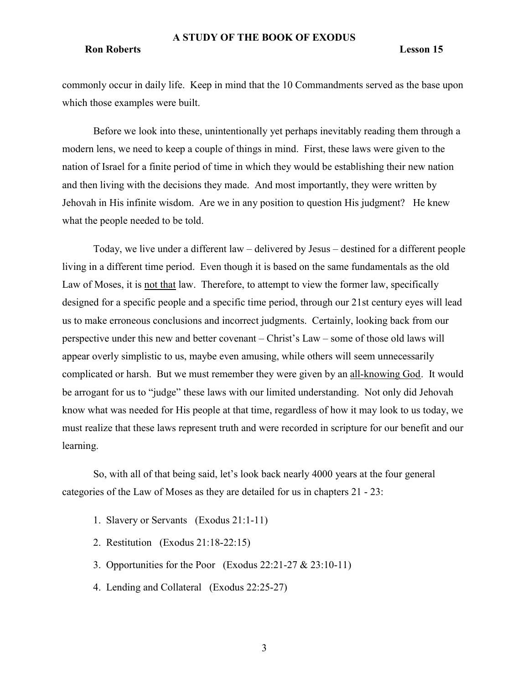#### Ron Roberts Lesson 15

commonly occur in daily life. Keep in mind that the 10 Commandments served as the base upon which those examples were built.

Before we look into these, unintentionally yet perhaps inevitably reading them through a modern lens, we need to keep a couple of things in mind. First, these laws were given to the nation of Israel for a finite period of time in which they would be establishing their new nation and then living with the decisions they made. And most importantly, they were written by Jehovah in His infinite wisdom. Are we in any position to question His judgment? He knew what the people needed to be told.

Today, we live under a different law – delivered by Jesus – destined for a different people living in a different time period. Even though it is based on the same fundamentals as the old Law of Moses, it is not that law. Therefore, to attempt to view the former law, specifically designed for a specific people and a specific time period, through our 21st century eyes will lead us to make erroneous conclusions and incorrect judgments. Certainly, looking back from our perspective under this new and better covenant – Christ's Law – some of those old laws will appear overly simplistic to us, maybe even amusing, while others will seem unnecessarily complicated or harsh. But we must remember they were given by an all-knowing God. It would be arrogant for us to "judge" these laws with our limited understanding. Not only did Jehovah know what was needed for His people at that time, regardless of how it may look to us today, we must realize that these laws represent truth and were recorded in scripture for our benefit and our learning.

So, with all of that being said, let's look back nearly 4000 years at the four general categories of the Law of Moses as they are detailed for us in chapters 21 - 23:

- 1. Slavery or Servants (Exodus 21:1-11)
- 2. Restitution (Exodus 21:18-22:15)
- 3. Opportunities for the Poor (Exodus 22:21-27 & 23:10-11)
- 4. Lending and Collateral (Exodus 22:25-27)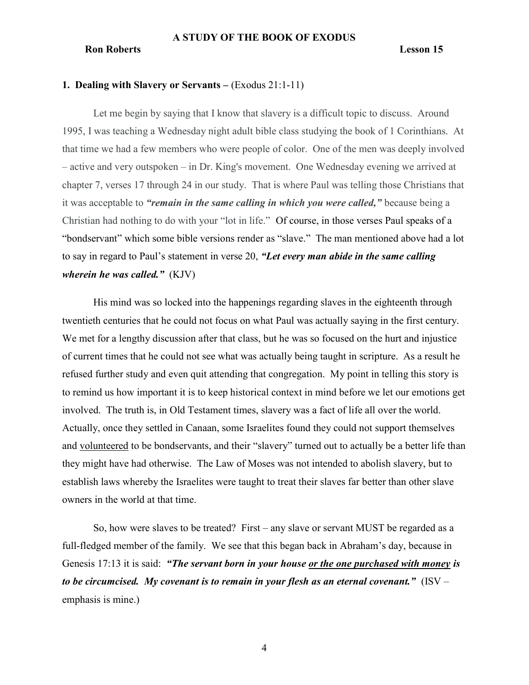### 1. Dealing with Slavery or Servants – (Exodus 21:1-11)

Let me begin by saying that I know that slavery is a difficult topic to discuss. Around 1995, I was teaching a Wednesday night adult bible class studying the book of 1 Corinthians. At that time we had a few members who were people of color. One of the men was deeply involved – active and very outspoken – in Dr. King's movement. One Wednesday evening we arrived at chapter 7, verses 17 through 24 in our study. That is where Paul was telling those Christians that it was acceptable to "remain in the same calling in which you were called," because being a Christian had nothing to do with your "lot in life." Of course, in those verses Paul speaks of a "bondservant" which some bible versions render as "slave." The man mentioned above had a lot to say in regard to Paul's statement in verse 20, "Let every man abide in the same calling wherein he was called."  $(KJV)$ 

His mind was so locked into the happenings regarding slaves in the eighteenth through twentieth centuries that he could not focus on what Paul was actually saying in the first century. We met for a lengthy discussion after that class, but he was so focused on the hurt and injustice of current times that he could not see what was actually being taught in scripture. As a result he refused further study and even quit attending that congregation. My point in telling this story is to remind us how important it is to keep historical context in mind before we let our emotions get involved. The truth is, in Old Testament times, slavery was a fact of life all over the world. Actually, once they settled in Canaan, some Israelites found they could not support themselves and volunteered to be bondservants, and their "slavery" turned out to actually be a better life than they might have had otherwise. The Law of Moses was not intended to abolish slavery, but to establish laws whereby the Israelites were taught to treat their slaves far better than other slave owners in the world at that time.

So, how were slaves to be treated? First – any slave or servant MUST be regarded as a full-fledged member of the family. We see that this began back in Abraham's day, because in Genesis 17:13 it is said: "The servant born in your house or the one purchased with money is to be circumcised. My covenant is to remain in your flesh as an eternal covenant."  $(ISV$ emphasis is mine.)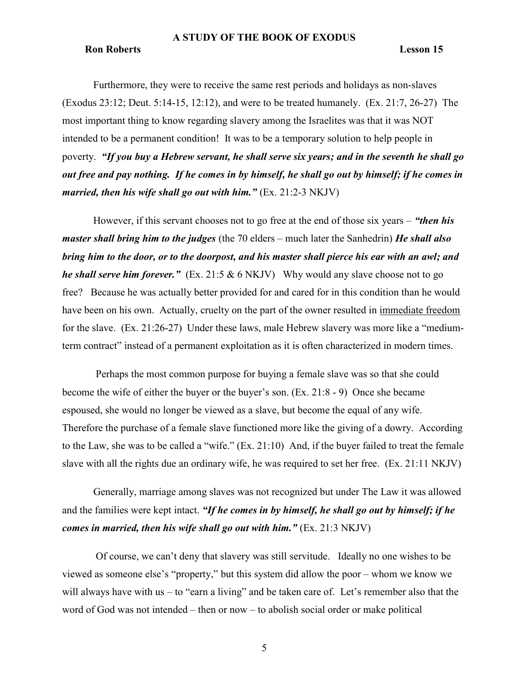#### **Ron Roberts** Lesson 15

Furthermore, they were to receive the same rest periods and holidays as non-slaves (Exodus 23:12; Deut. 5:14-15, 12:12), and were to be treated humanely. (Ex. 21:7, 26-27) The most important thing to know regarding slavery among the Israelites was that it was NOT intended to be a permanent condition! It was to be a temporary solution to help people in poverty. "If you buy a Hebrew servant, he shall serve six years; and in the seventh he shall go out free and pay nothing. If he comes in by himself, he shall go out by himself; if he comes in married, then his wife shall go out with him."  $(Ex. 21:2-3 NKJV)$ 

However, if this servant chooses not to go free at the end of those six years – "then his *master shall bring him to the judges* (the 70 elders – much later the Sanhedrin) *He shall also* bring him to the door, or to the doorpost, and his master shall pierce his ear with an awl; and he shall serve him forever." (Ex. 21:5  $& 6$  NKJV) Why would any slave choose not to go free? Because he was actually better provided for and cared for in this condition than he would have been on his own. Actually, cruelty on the part of the owner resulted in immediate freedom for the slave. (Ex. 21:26-27) Under these laws, male Hebrew slavery was more like a "mediumterm contract" instead of a permanent exploitation as it is often characterized in modern times.

 Perhaps the most common purpose for buying a female slave was so that she could become the wife of either the buyer or the buyer's son. (Ex. 21:8 - 9) Once she became espoused, she would no longer be viewed as a slave, but become the equal of any wife. Therefore the purchase of a female slave functioned more like the giving of a dowry. According to the Law, she was to be called a "wife." (Ex. 21:10) And, if the buyer failed to treat the female slave with all the rights due an ordinary wife, he was required to set her free. (Ex. 21:11 NKJV)

Generally, marriage among slaves was not recognized but under The Law it was allowed and the families were kept intact. "If he comes in by himself, he shall go out by himself; if he comes in married, then his wife shall go out with him."  $(Ex. 21:3 NKJV)$ 

 Of course, we can't deny that slavery was still servitude. Ideally no one wishes to be viewed as someone else's "property," but this system did allow the poor – whom we know we will always have with us – to "earn a living" and be taken care of. Let's remember also that the word of God was not intended – then or now – to abolish social order or make political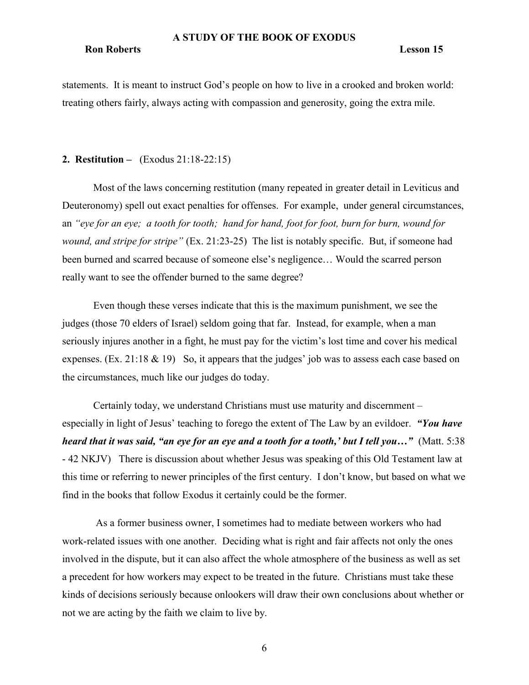#### Ron Roberts Lesson 15

statements. It is meant to instruct God's people on how to live in a crooked and broken world: treating others fairly, always acting with compassion and generosity, going the extra mile.

# 2. Restitution – (Exodus 21:18-22:15)

Most of the laws concerning restitution (many repeated in greater detail in Leviticus and Deuteronomy) spell out exact penalties for offenses. For example, under general circumstances, an "eye for an eye; a tooth for tooth; hand for hand, foot for foot, burn for burn, wound for wound, and stripe for stripe" (Ex. 21:23-25) The list is notably specific. But, if someone had been burned and scarred because of someone else's negligence… Would the scarred person really want to see the offender burned to the same degree?

Even though these verses indicate that this is the maximum punishment, we see the judges (those 70 elders of Israel) seldom going that far. Instead, for example, when a man seriously injures another in a fight, he must pay for the victim's lost time and cover his medical expenses. (Ex. 21:18 & 19) So, it appears that the judges' job was to assess each case based on the circumstances, much like our judges do today.

Certainly today, we understand Christians must use maturity and discernment – especially in light of Jesus' teaching to forego the extent of The Law by an evildoer. "You have heard that it was said, "an eye for an eye and a tooth for a tooth,' but I tell you..." (Matt. 5:38 - 42 NKJV) There is discussion about whether Jesus was speaking of this Old Testament law at this time or referring to newer principles of the first century. I don't know, but based on what we find in the books that follow Exodus it certainly could be the former.

 As a former business owner, I sometimes had to mediate between workers who had work-related issues with one another. Deciding what is right and fair affects not only the ones involved in the dispute, but it can also affect the whole atmosphere of the business as well as set a precedent for how workers may expect to be treated in the future. Christians must take these kinds of decisions seriously because onlookers will draw their own conclusions about whether or not we are acting by the faith we claim to live by.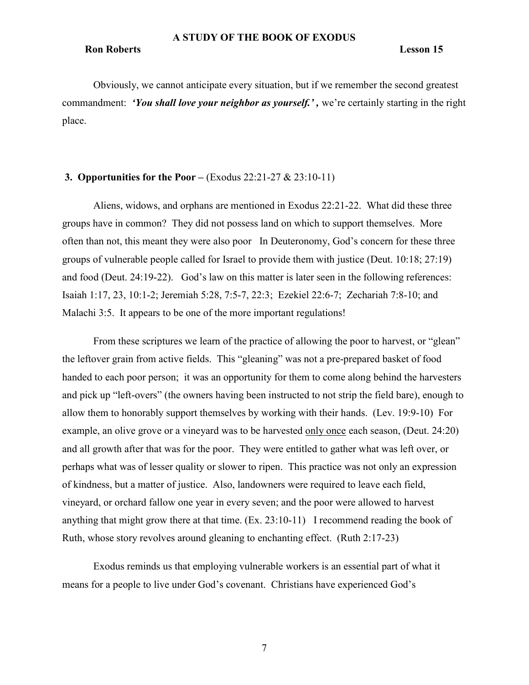### Ron Roberts Lesson 15

Obviously, we cannot anticipate every situation, but if we remember the second greatest commandment: 'You shall love your neighbor as yourself.', we're certainly starting in the right place.

# 3. Opportunities for the Poor – (Exodus  $22:21-27 \& 23:10-11$ )

Aliens, widows, and orphans are mentioned in Exodus 22:21-22. What did these three groups have in common? They did not possess land on which to support themselves. More often than not, this meant they were also poor In Deuteronomy, God's concern for these three groups of vulnerable people called for Israel to provide them with justice (Deut. 10:18; 27:19) and food (Deut. 24:19-22). God's law on this matter is later seen in the following references: Isaiah 1:17, 23, 10:1-2; Jeremiah 5:28, 7:5-7, 22:3; Ezekiel 22:6-7; Zechariah 7:8-10; and Malachi 3:5. It appears to be one of the more important regulations!

From these scriptures we learn of the practice of allowing the poor to harvest, or "glean" the leftover grain from active fields. This "gleaning" was not a pre-prepared basket of food handed to each poor person; it was an opportunity for them to come along behind the harvesters and pick up "left-overs" (the owners having been instructed to not strip the field bare), enough to allow them to honorably support themselves by working with their hands. (Lev. 19:9-10) For example, an olive grove or a vineyard was to be harvested only once each season, (Deut. 24:20) and all growth after that was for the poor. They were entitled to gather what was left over, or perhaps what was of lesser quality or slower to ripen. This practice was not only an expression of kindness, but a matter of justice. Also, landowners were required to leave each field, vineyard, or orchard fallow one year in every seven; and the poor were allowed to harvest anything that might grow there at that time. (Ex. 23:10-11) I recommend reading the book of Ruth, whose story revolves around gleaning to enchanting effect. (Ruth 2:17-23)

Exodus reminds us that employing vulnerable workers is an essential part of what it means for a people to live under God's covenant. Christians have experienced God's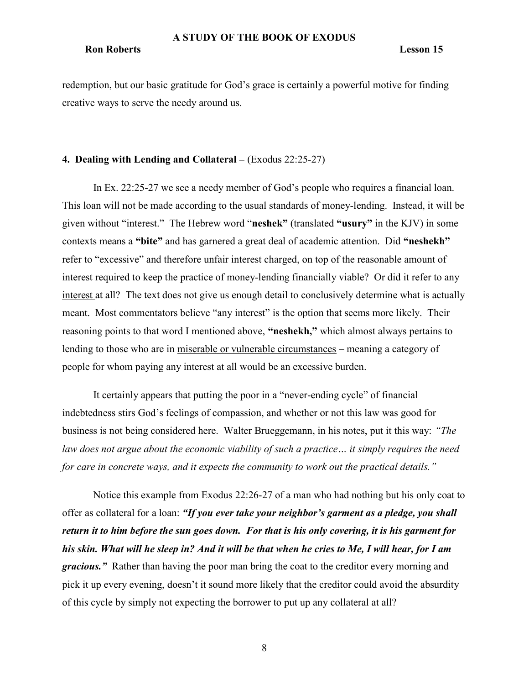#### Ron Roberts Lesson 15

redemption, but our basic gratitude for God's grace is certainly a powerful motive for finding creative ways to serve the needy around us.

# 4. Dealing with Lending and Collateral – (Exodus 22:25-27)

In Ex. 22:25-27 we see a needy member of God's people who requires a financial loan. This loan will not be made according to the usual standards of money-lending. Instead, it will be given without "interest." The Hebrew word "neshek" (translated "usury" in the KJV) in some contexts means a "bite" and has garnered a great deal of academic attention. Did "neshekh" refer to "excessive" and therefore unfair interest charged, on top of the reasonable amount of interest required to keep the practice of money-lending financially viable? Or did it refer to any interest at all? The text does not give us enough detail to conclusively determine what is actually meant. Most commentators believe "any interest" is the option that seems more likely. Their reasoning points to that word I mentioned above, "neshekh," which almost always pertains to lending to those who are in miserable or vulnerable circumstances – meaning a category of people for whom paying any interest at all would be an excessive burden.

It certainly appears that putting the poor in a "never-ending cycle" of financial indebtedness stirs God's feelings of compassion, and whether or not this law was good for business is not being considered here. Walter Brueggemann, in his notes, put it this way: "The law does not argue about the economic viability of such a practice... it simply requires the need for care in concrete ways, and it expects the community to work out the practical details."

Notice this example from Exodus 22:26-27 of a man who had nothing but his only coat to offer as collateral for a loan: "If you ever take your neighbor's garment as a pledge, you shall return it to him before the sun goes down. For that is his only covering, it is his garment for his skin. What will he sleep in? And it will be that when he cries to Me, I will hear, for I am gracious." Rather than having the poor man bring the coat to the creditor every morning and pick it up every evening, doesn't it sound more likely that the creditor could avoid the absurdity of this cycle by simply not expecting the borrower to put up any collateral at all?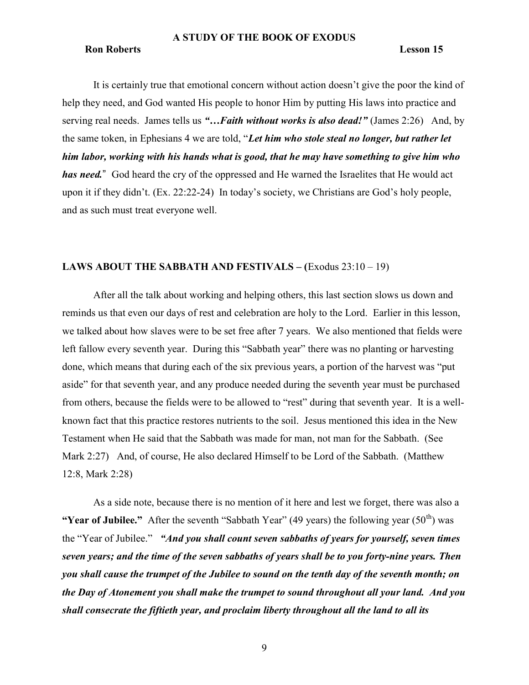#### **Ron Roberts** Lesson 15

It is certainly true that emotional concern without action doesn't give the poor the kind of help they need, and God wanted His people to honor Him by putting His laws into practice and serving real needs. James tells us "... Faith without works is also dead!" (James 2:26) And, by the same token, in Ephesians 4 we are told, "Let him who stole steal no longer, but rather let him labor, working with his hands what is good, that he may have something to give him who has need." God heard the cry of the oppressed and He warned the Israelites that He would act upon it if they didn't. (Ex. 22:22-24) In today's society, we Christians are God's holy people, and as such must treat everyone well.

# LAWS ABOUT THE SABBATH AND FESTIVALS – (Exodus 23:10 – 19)

After all the talk about working and helping others, this last section slows us down and reminds us that even our days of rest and celebration are holy to the Lord. Earlier in this lesson, we talked about how slaves were to be set free after 7 years. We also mentioned that fields were left fallow every seventh year. During this "Sabbath year" there was no planting or harvesting done, which means that during each of the six previous years, a portion of the harvest was "put aside" for that seventh year, and any produce needed during the seventh year must be purchased from others, because the fields were to be allowed to "rest" during that seventh year. It is a wellknown fact that this practice restores nutrients to the soil. Jesus mentioned this idea in the New Testament when He said that the Sabbath was made for man, not man for the Sabbath. (See Mark 2:27) And, of course, He also declared Himself to be Lord of the Sabbath. (Matthew 12:8, Mark 2:28)

As a side note, because there is no mention of it here and lest we forget, there was also a "Year of Jubilee." After the seventh "Sabbath Year" (49 years) the following year  $(50<sup>th</sup>)$  was the "Year of Jubilee." "And you shall count seven sabbaths of years for yourself, seven times seven years; and the time of the seven sabbaths of years shall be to you forty-nine years. Then you shall cause the trumpet of the Jubilee to sound on the tenth day of the seventh month; on the Day of Atonement you shall make the trumpet to sound throughout all your land. And you shall consecrate the fiftieth year, and proclaim liberty throughout all the land to all its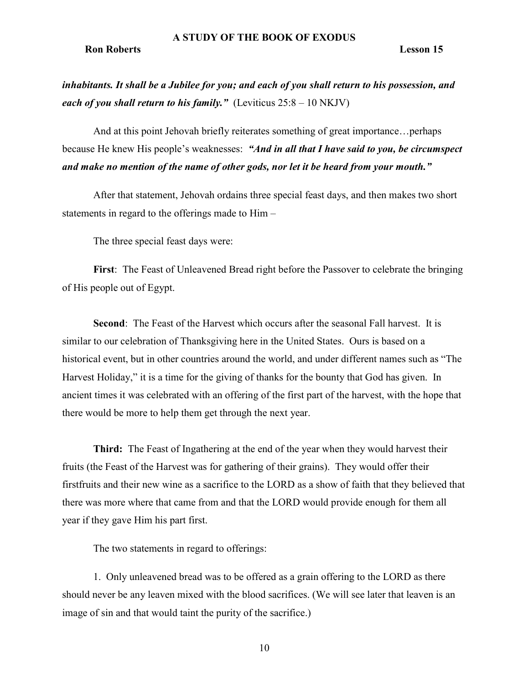#### Ron Roberts Lesson 15

inhabitants. It shall be a Jubilee for you; and each of you shall return to his possession, and each of you shall return to his family." (Leviticus  $25:8 - 10 \text{ NKJV}$ )

And at this point Jehovah briefly reiterates something of great importance…perhaps because He knew His people's weaknesses: "And in all that I have said to you, be circumspect and make no mention of the name of other gods, nor let it be heard from your mouth."

After that statement, Jehovah ordains three special feast days, and then makes two short statements in regard to the offerings made to Him –

The three special feast days were:

First: The Feast of Unleavened Bread right before the Passover to celebrate the bringing of His people out of Egypt.

Second: The Feast of the Harvest which occurs after the seasonal Fall harvest. It is similar to our celebration of Thanksgiving here in the United States. Ours is based on a historical event, but in other countries around the world, and under different names such as "The Harvest Holiday," it is a time for the giving of thanks for the bounty that God has given. In ancient times it was celebrated with an offering of the first part of the harvest, with the hope that there would be more to help them get through the next year.

Third: The Feast of Ingathering at the end of the year when they would harvest their fruits (the Feast of the Harvest was for gathering of their grains). They would offer their firstfruits and their new wine as a sacrifice to the LORD as a show of faith that they believed that there was more where that came from and that the LORD would provide enough for them all year if they gave Him his part first.

The two statements in regard to offerings:

1. Only unleavened bread was to be offered as a grain offering to the LORD as there should never be any leaven mixed with the blood sacrifices. (We will see later that leaven is an image of sin and that would taint the purity of the sacrifice.)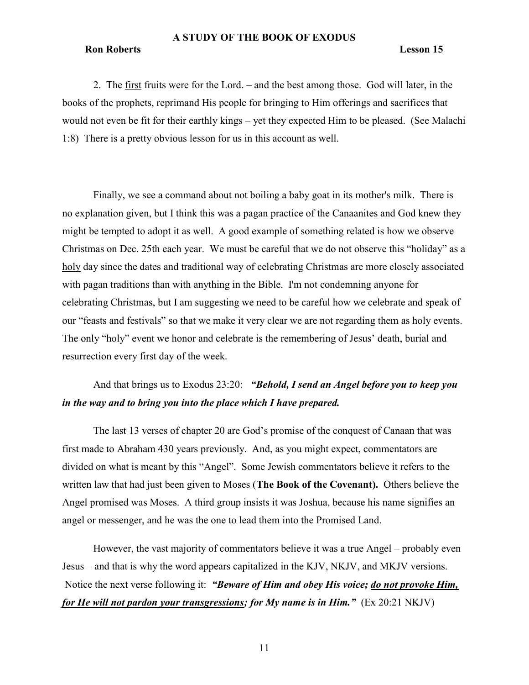# Ron Roberts Lesson 15

2. The first fruits were for the Lord. – and the best among those. God will later, in the books of the prophets, reprimand His people for bringing to Him offerings and sacrifices that would not even be fit for their earthly kings – yet they expected Him to be pleased. (See Malachi 1:8) There is a pretty obvious lesson for us in this account as well.

Finally, we see a command about not boiling a baby goat in its mother's milk. There is no explanation given, but I think this was a pagan practice of the Canaanites and God knew they might be tempted to adopt it as well. A good example of something related is how we observe Christmas on Dec. 25th each year. We must be careful that we do not observe this "holiday" as a holy day since the dates and traditional way of celebrating Christmas are more closely associated with pagan traditions than with anything in the Bible. I'm not condemning anyone for celebrating Christmas, but I am suggesting we need to be careful how we celebrate and speak of our "feasts and festivals" so that we make it very clear we are not regarding them as holy events. The only "holy" event we honor and celebrate is the remembering of Jesus' death, burial and resurrection every first day of the week.

# And that brings us to Exodus 23:20: "Behold, I send an Angel before you to keep you in the way and to bring you into the place which I have prepared.

The last 13 verses of chapter 20 are God's promise of the conquest of Canaan that was first made to Abraham 430 years previously. And, as you might expect, commentators are divided on what is meant by this "Angel". Some Jewish commentators believe it refers to the written law that had just been given to Moses (The Book of the Covenant). Others believe the Angel promised was Moses. A third group insists it was Joshua, because his name signifies an angel or messenger, and he was the one to lead them into the Promised Land.

However, the vast majority of commentators believe it was a true Angel – probably even Jesus – and that is why the word appears capitalized in the KJV, NKJV, and MKJV versions. Notice the next verse following it: "Beware of Him and obey His voice; do not provoke Him, for He will not pardon your transgressions; for My name is in Him."  $(Ex 20:21 \text{ NKJV})$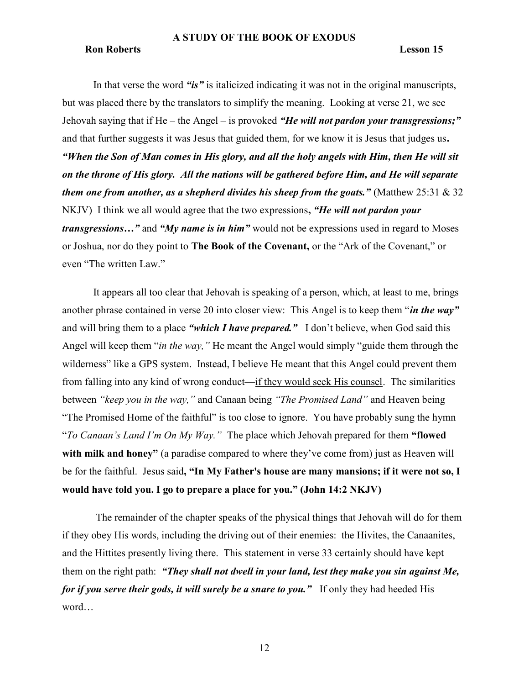#### Ron Roberts Lesson 15

In that verse the word "is" is italicized indicating it was not in the original manuscripts, but was placed there by the translators to simplify the meaning. Looking at verse 21, we see Jehovah saying that if  $He$  – the Angel – is provoked "He will not pardon your transgressions;" and that further suggests it was Jesus that guided them, for we know it is Jesus that judges us. "When the Son of Man comes in His glory, and all the holy angels with Him, then He will sit on the throne of His glory. All the nations will be gathered before Him, and He will separate them one from another, as a shepherd divides his sheep from the goats." (Matthew 25:31  $\&$  32 NKJV) I think we all would agree that the two expressions, "He will not pardon your transgressions..." and "My name is in him" would not be expressions used in regard to Moses or Joshua, nor do they point to The Book of the Covenant, or the "Ark of the Covenant," or even "The written Law."

It appears all too clear that Jehovah is speaking of a person, which, at least to me, brings another phrase contained in verse 20 into closer view: This Angel is to keep them "*in the way*" and will bring them to a place "which I have prepared." I don't believe, when God said this Angel will keep them "*in the way*," He meant the Angel would simply "guide them through the wilderness" like a GPS system. Instead, I believe He meant that this Angel could prevent them from falling into any kind of wrong conduct—if they would seek His counsel. The similarities between "keep you in the way," and Canaan being "The Promised Land" and Heaven being "The Promised Home of the faithful" is too close to ignore. You have probably sung the hymn "To Canaan's Land I'm On My Way." The place which Jehovah prepared for them "flowed" with milk and honey" (a paradise compared to where they've come from) just as Heaven will be for the faithful. Jesus said, "In My Father's house are many mansions; if it were not so, I would have told you. I go to prepare a place for you." (John 14:2 NKJV)

The remainder of the chapter speaks of the physical things that Jehovah will do for them if they obey His words, including the driving out of their enemies: the Hivites, the Canaanites, and the Hittites presently living there. This statement in verse 33 certainly should have kept them on the right path: "They shall not dwell in your land, lest they make you sin against Me, for if you serve their gods, it will surely be a snare to you." If only they had heeded His word…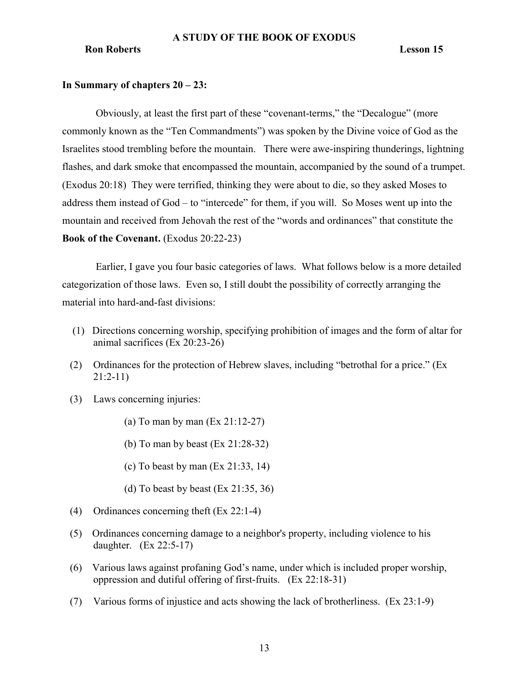# In Summary of chapters 20 – 23:

 Obviously, at least the first part of these "covenant-terms," the "Decalogue" (more commonly known as the "Ten Commandments") was spoken by the Divine voice of God as the Israelites stood trembling before the mountain. There were awe-inspiring thunderings, lightning flashes, and dark smoke that encompassed the mountain, accompanied by the sound of a trumpet. (Exodus 20:18) They were terrified, thinking they were about to die, so they asked Moses to address them instead of God – to "intercede" for them, if you will. So Moses went up into the mountain and received from Jehovah the rest of the "words and ordinances" that constitute the Book of the Covenant. (Exodus 20:22-23)

 Earlier, I gave you four basic categories of laws. What follows below is a more detailed categorization of those laws. Even so, I still doubt the possibility of correctly arranging the material into hard-and-fast divisions:

- (1) Directions concerning worship, specifying prohibition of images and the form of altar for animal sacrifices (Ex 20:23-26)
- (2) Ordinances for the protection of Hebrew slaves, including "betrothal for a price." (Ex 21:2-11)
- (3) Laws concerning injuries:
	- (a) To man by man (Ex 21:12-27)
	- (b) To man by beast (Ex 21:28-32)
	- (c) To beast by man (Ex 21:33, 14)
	- (d) To beast by beast  $(Ex\ 21:35, 36)$
- (4) Ordinances concerning theft (Ex 22:1-4)
- (5) Ordinances concerning damage to a neighbor's property, including violence to his daughter. (Ex 22:5-17)
- (6) Various laws against profaning God's name, under which is included proper worship, oppression and dutiful offering of first-fruits. (Ex 22:18-31)
- (7) Various forms of injustice and acts showing the lack of brotherliness. (Ex 23:1-9)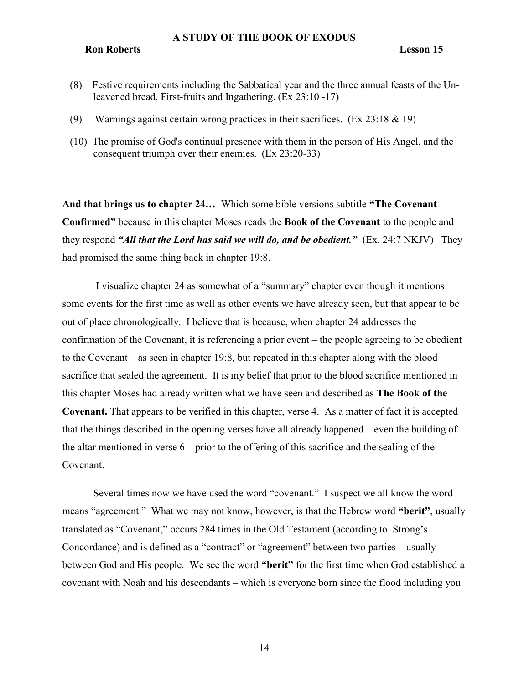Ron Roberts Lesson 15

- (8) Festive requirements including the Sabbatical year and the three annual feasts of the Unleavened bread, First-fruits and Ingathering. (Ex 23:10 -17)
- (9) Warnings against certain wrong practices in their sacrifices. (Ex 23:18 & 19)
- (10) The promise of God's continual presence with them in the person of His Angel, and the consequent triumph over their enemies. (Ex 23:20-33)

And that brings us to chapter 24… Which some bible versions subtitle "The Covenant Confirmed" because in this chapter Moses reads the Book of the Covenant to the people and they respond "All that the Lord has said we will do, and be obedient."  $(Ex. 24:7 \text{ NKJV})$  They had promised the same thing back in chapter 19:8.

 I visualize chapter 24 as somewhat of a "summary" chapter even though it mentions some events for the first time as well as other events we have already seen, but that appear to be out of place chronologically. I believe that is because, when chapter 24 addresses the confirmation of the Covenant, it is referencing a prior event – the people agreeing to be obedient to the Covenant – as seen in chapter 19:8, but repeated in this chapter along with the blood sacrifice that sealed the agreement. It is my belief that prior to the blood sacrifice mentioned in this chapter Moses had already written what we have seen and described as The Book of the Covenant. That appears to be verified in this chapter, verse 4. As a matter of fact it is accepted that the things described in the opening verses have all already happened – even the building of the altar mentioned in verse  $6$  – prior to the offering of this sacrifice and the sealing of the Covenant.

Several times now we have used the word "covenant." I suspect we all know the word means "agreement." What we may not know, however, is that the Hebrew word "berit", usually translated as "Covenant," occurs 284 times in the Old Testament (according to Strong's Concordance) and is defined as a "contract" or "agreement" between two parties – usually between God and His people. We see the word "berit" for the first time when God established a covenant with Noah and his descendants – which is everyone born since the flood including you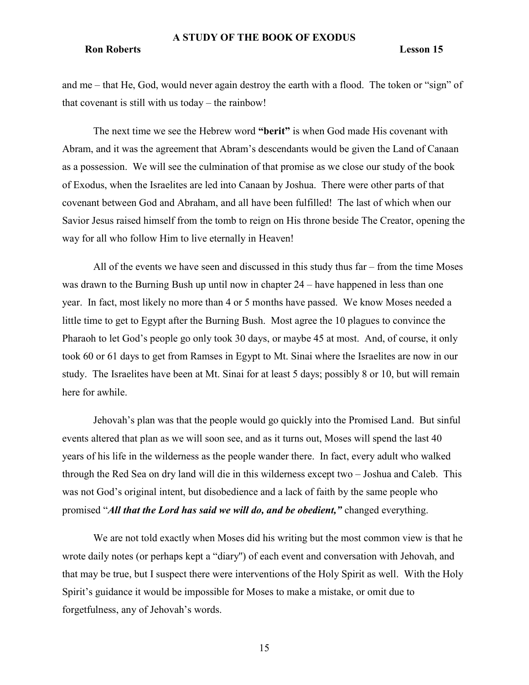### Ron Roberts Lesson 15

and me – that He, God, would never again destroy the earth with a flood. The token or "sign" of that covenant is still with us today – the rainbow!

The next time we see the Hebrew word "**berit**" is when God made His covenant with Abram, and it was the agreement that Abram's descendants would be given the Land of Canaan as a possession. We will see the culmination of that promise as we close our study of the book of Exodus, when the Israelites are led into Canaan by Joshua. There were other parts of that covenant between God and Abraham, and all have been fulfilled! The last of which when our Savior Jesus raised himself from the tomb to reign on His throne beside The Creator, opening the way for all who follow Him to live eternally in Heaven!

All of the events we have seen and discussed in this study thus far – from the time Moses was drawn to the Burning Bush up until now in chapter 24 – have happened in less than one year. In fact, most likely no more than 4 or 5 months have passed. We know Moses needed a little time to get to Egypt after the Burning Bush. Most agree the 10 plagues to convince the Pharaoh to let God's people go only took 30 days, or maybe 45 at most. And, of course, it only took 60 or 61 days to get from Ramses in Egypt to Mt. Sinai where the Israelites are now in our study. The Israelites have been at Mt. Sinai for at least 5 days; possibly 8 or 10, but will remain here for awhile.

Jehovah's plan was that the people would go quickly into the Promised Land. But sinful events altered that plan as we will soon see, and as it turns out, Moses will spend the last 40 years of his life in the wilderness as the people wander there. In fact, every adult who walked through the Red Sea on dry land will die in this wilderness except two – Joshua and Caleb. This was not God's original intent, but disobedience and a lack of faith by the same people who promised "All that the Lord has said we will do, and be obedient," changed everything.

We are not told exactly when Moses did his writing but the most common view is that he wrote daily notes (or perhaps kept a "diary'') of each event and conversation with Jehovah, and that may be true, but I suspect there were interventions of the Holy Spirit as well. With the Holy Spirit's guidance it would be impossible for Moses to make a mistake, or omit due to forgetfulness, any of Jehovah's words.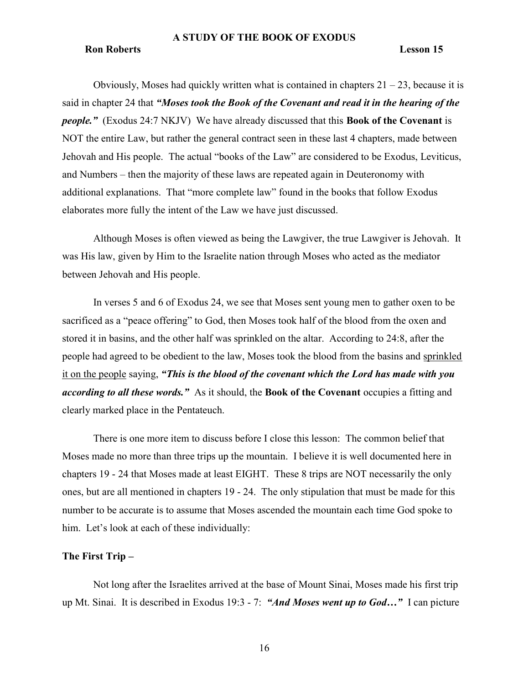#### Ron Roberts Lesson 15

Obviously, Moses had quickly written what is contained in chapters  $21 - 23$ , because it is said in chapter 24 that "Moses took the Book of the Covenant and read it in the hearing of the *people.*" (Exodus 24:7 NKJV) We have already discussed that this **Book of the Covenant** is NOT the entire Law, but rather the general contract seen in these last 4 chapters, made between Jehovah and His people. The actual "books of the Law" are considered to be Exodus, Leviticus, and Numbers – then the majority of these laws are repeated again in Deuteronomy with additional explanations. That "more complete law" found in the books that follow Exodus elaborates more fully the intent of the Law we have just discussed.

Although Moses is often viewed as being the Lawgiver, the true Lawgiver is Jehovah. It was His law, given by Him to the Israelite nation through Moses who acted as the mediator between Jehovah and His people.

In verses 5 and 6 of Exodus 24, we see that Moses sent young men to gather oxen to be sacrificed as a "peace offering" to God, then Moses took half of the blood from the oxen and stored it in basins, and the other half was sprinkled on the altar. According to 24:8, after the people had agreed to be obedient to the law, Moses took the blood from the basins and sprinkled it on the people saying, "This is the blood of the covenant which the Lord has made with you according to all these words." As it should, the Book of the Covenant occupies a fitting and clearly marked place in the Pentateuch.

There is one more item to discuss before I close this lesson: The common belief that Moses made no more than three trips up the mountain. I believe it is well documented here in chapters 19 - 24 that Moses made at least EIGHT. These 8 trips are NOT necessarily the only ones, but are all mentioned in chapters 19 - 24. The only stipulation that must be made for this number to be accurate is to assume that Moses ascended the mountain each time God spoke to him. Let's look at each of these individually:

# The First Trip –

Not long after the Israelites arrived at the base of Mount Sinai, Moses made his first trip up Mt. Sinai. It is described in Exodus 19:3 - 7: "And Moses went up to God..." I can picture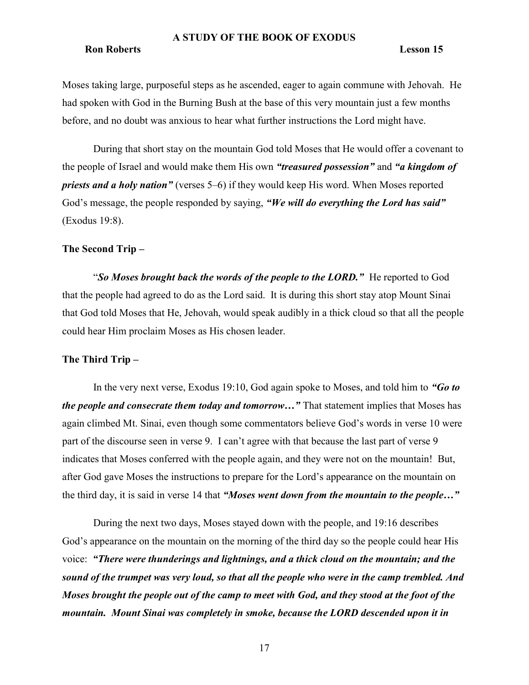### Ron Roberts Lesson 15

Moses taking large, purposeful steps as he ascended, eager to again commune with Jehovah. He had spoken with God in the Burning Bush at the base of this very mountain just a few months before, and no doubt was anxious to hear what further instructions the Lord might have.

During that short stay on the mountain God told Moses that He would offer a covenant to the people of Israel and would make them His own "*treasured possession*" and "*a kingdom of* priests and a holy nation" (verses 5–6) if they would keep His word. When Moses reported God's message, the people responded by saying, "We will do everything the Lord has said" (Exodus 19:8).

# The Second Trip –

"So Moses brought back the words of the people to the LORD." He reported to God that the people had agreed to do as the Lord said. It is during this short stay atop Mount Sinai that God told Moses that He, Jehovah, would speak audibly in a thick cloud so that all the people could hear Him proclaim Moses as His chosen leader.

# The Third Trip –

In the very next verse, Exodus 19:10, God again spoke to Moses, and told him to "Go to" the people and consecrate them today and tomorrow..." That statement implies that Moses has again climbed Mt. Sinai, even though some commentators believe God's words in verse 10 were part of the discourse seen in verse 9. I can't agree with that because the last part of verse 9 indicates that Moses conferred with the people again, and they were not on the mountain! But, after God gave Moses the instructions to prepare for the Lord's appearance on the mountain on the third day, it is said in verse 14 that "Moses went down from the mountain to the people..."

During the next two days, Moses stayed down with the people, and 19:16 describes God's appearance on the mountain on the morning of the third day so the people could hear His voice: "There were thunderings and lightnings, and a thick cloud on the mountain; and the sound of the trumpet was very loud, so that all the people who were in the camp trembled. And Moses brought the people out of the camp to meet with God, and they stood at the foot of the mountain. Mount Sinai was completely in smoke, because the LORD descended upon it in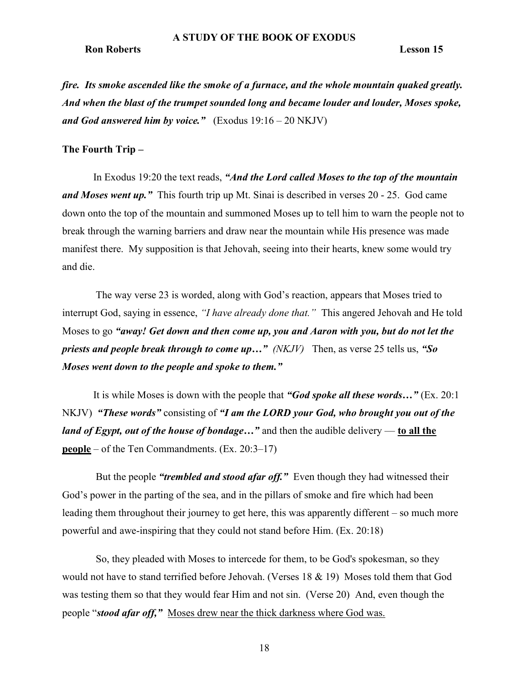#### Ron Roberts Lesson 15

fire. Its smoke ascended like the smoke of a furnace, and the whole mountain quaked greatly. And when the blast of the trumpet sounded long and became louder and louder, Moses spoke, and God answered him by voice."  $(Exodus 19:16 - 20 NKJV)$ 

### The Fourth Trip –

In Exodus 19:20 the text reads, "And the Lord called Moses to the top of the mountain and Moses went up." This fourth trip up Mt. Sinai is described in verses 20 - 25. God came down onto the top of the mountain and summoned Moses up to tell him to warn the people not to break through the warning barriers and draw near the mountain while His presence was made manifest there. My supposition is that Jehovah, seeing into their hearts, knew some would try and die.

 The way verse 23 is worded, along with God's reaction, appears that Moses tried to interrupt God, saying in essence, "I have already done that." This angered Jehovah and He told Moses to go "away! Get down and then come up, you and Aaron with you, but do not let the priests and people break through to come up..."  $(NKJV)$  Then, as verse 25 tells us, "So Moses went down to the people and spoke to them."

It is while Moses is down with the people that "God spoke all these words..." (Ex. 20:1) NKJV) "These words" consisting of "I am the LORD your God, who brought you out of the *land of Egypt, out of the house of bondage...*" and then the audible delivery — to all the **people** – of the Ten Commandments. (Ex.  $20:3-17$ )

But the people "*trembled and stood afar off.*" Even though they had witnessed their God's power in the parting of the sea, and in the pillars of smoke and fire which had been leading them throughout their journey to get here, this was apparently different – so much more powerful and awe-inspiring that they could not stand before Him. (Ex. 20:18)

 So, they pleaded with Moses to intercede for them, to be God's spokesman, so they would not have to stand terrified before Jehovah. (Verses 18 & 19) Moses told them that God was testing them so that they would fear Him and not sin. (Verse 20) And, even though the people "stood afar off," Moses drew near the thick darkness where God was.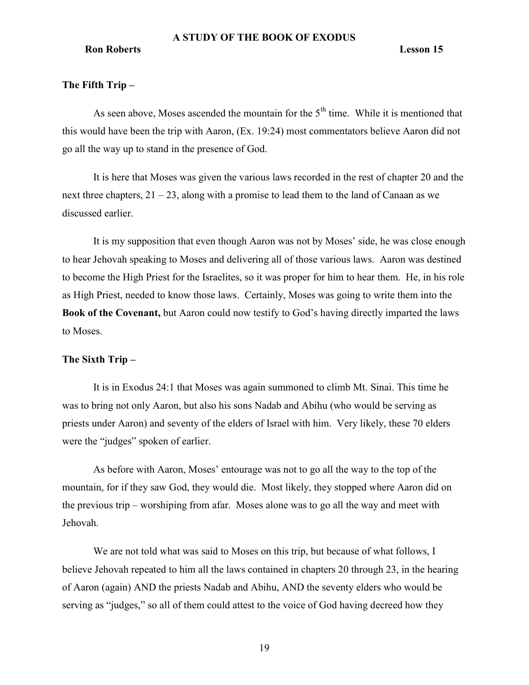# The Fifth Trip –

As seen above, Moses ascended the mountain for the  $5<sup>th</sup>$  time. While it is mentioned that this would have been the trip with Aaron, (Ex. 19:24) most commentators believe Aaron did not go all the way up to stand in the presence of God.

It is here that Moses was given the various laws recorded in the rest of chapter 20 and the next three chapters, 21 – 23, along with a promise to lead them to the land of Canaan as we discussed earlier.

It is my supposition that even though Aaron was not by Moses' side, he was close enough to hear Jehovah speaking to Moses and delivering all of those various laws. Aaron was destined to become the High Priest for the Israelites, so it was proper for him to hear them. He, in his role as High Priest, needed to know those laws. Certainly, Moses was going to write them into the Book of the Covenant, but Aaron could now testify to God's having directly imparted the laws to Moses.

# The Sixth Trip –

It is in Exodus 24:1 that Moses was again summoned to climb Mt. Sinai. This time he was to bring not only Aaron, but also his sons Nadab and Abihu (who would be serving as priests under Aaron) and seventy of the elders of Israel with him. Very likely, these 70 elders were the "judges" spoken of earlier.

As before with Aaron, Moses' entourage was not to go all the way to the top of the mountain, for if they saw God, they would die. Most likely, they stopped where Aaron did on the previous trip – worshiping from afar. Moses alone was to go all the way and meet with Jehovah.

We are not told what was said to Moses on this trip, but because of what follows, I believe Jehovah repeated to him all the laws contained in chapters 20 through 23, in the hearing of Aaron (again) AND the priests Nadab and Abihu, AND the seventy elders who would be serving as "judges," so all of them could attest to the voice of God having decreed how they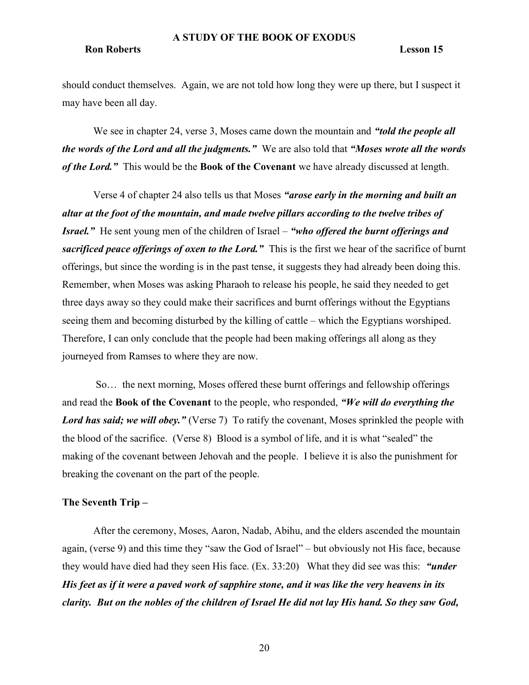# Ron Roberts Lesson 15

should conduct themselves. Again, we are not told how long they were up there, but I suspect it may have been all day.

We see in chapter 24, verse 3, Moses came down the mountain and "told the people all the words of the Lord and all the judgments." We are also told that "Moses wrote all the words of the Lord." This would be the Book of the Covenant we have already discussed at length.

Verse 4 of chapter 24 also tells us that Moses "arose early in the morning and built an altar at the foot of the mountain, and made twelve pillars according to the twelve tribes of Israel." He sent young men of the children of Israel – "who offered the burnt offerings and sacrificed peace offerings of oxen to the Lord." This is the first we hear of the sacrifice of burnt offerings, but since the wording is in the past tense, it suggests they had already been doing this. Remember, when Moses was asking Pharaoh to release his people, he said they needed to get three days away so they could make their sacrifices and burnt offerings without the Egyptians seeing them and becoming disturbed by the killing of cattle – which the Egyptians worshiped. Therefore, I can only conclude that the people had been making offerings all along as they journeyed from Ramses to where they are now.

 So… the next morning, Moses offered these burnt offerings and fellowship offerings and read the **Book of the Covenant** to the people, who responded, "We will do everything the Lord has said; we will obey." (Verse 7) To ratify the covenant, Moses sprinkled the people with the blood of the sacrifice. (Verse 8) Blood is a symbol of life, and it is what "sealed" the making of the covenant between Jehovah and the people. I believe it is also the punishment for breaking the covenant on the part of the people.

# The Seventh Trip –

After the ceremony, Moses, Aaron, Nadab, Abihu, and the elders ascended the mountain again, (verse 9) and this time they "saw the God of Israel" – but obviously not His face, because they would have died had they seen His face. (Ex. 33:20) What they did see was this: "under" His feet as if it were a paved work of sapphire stone, and it was like the very heavens in its clarity. But on the nobles of the children of Israel He did not lay His hand. So they saw God,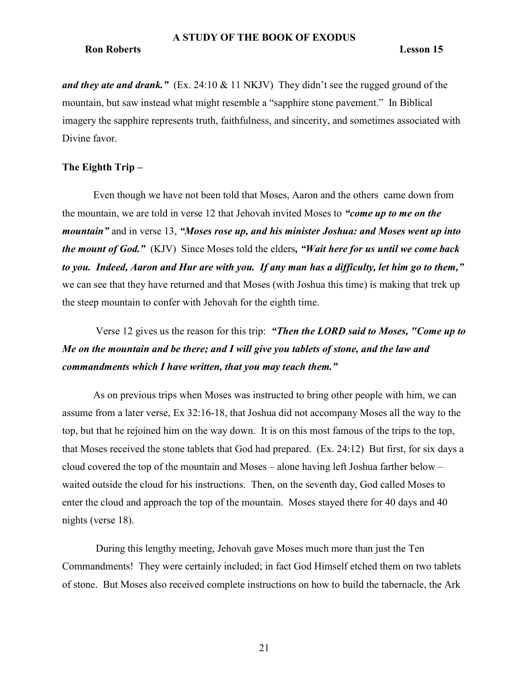and they ate and drank."  $(Ex. 24:10 \& 11 \text{ NKJV})$  They didn't see the rugged ground of the mountain, but saw instead what might resemble a "sapphire stone pavement." In Biblical imagery the sapphire represents truth, faithfulness, and sincerity, and sometimes associated with Divine favor.

# The Eighth Trip –

Even though we have not been told that Moses, Aaron and the others came down from the mountain, we are told in verse 12 that Jehovah invited Moses to "come up to me on the mountain" and in verse 13, "Moses rose up, and his minister Joshua: and Moses went up into the mount of God." (KJV) Since Moses told the elders, "Wait here for us until we come back to you. Indeed, Aaron and Hur are with you. If any man has a difficulty, let him go to them," we can see that they have returned and that Moses (with Joshua this time) is making that trek up the steep mountain to confer with Jehovah for the eighth time.

Verse 12 gives us the reason for this trip: "Then the LORD said to Moses, "Come up to Me on the mountain and be there; and I will give you tablets of stone, and the law and commandments which I have written, that you may teach them."

As on previous trips when Moses was instructed to bring other people with him, we can assume from a later verse, Ex 32:16-18, that Joshua did not accompany Moses all the way to the top, but that he rejoined him on the way down. It is on this most famous of the trips to the top, that Moses received the stone tablets that God had prepared. (Ex. 24:12) But first, for six days a cloud covered the top of the mountain and Moses – alone having left Joshua farther below – waited outside the cloud for his instructions. Then, on the seventh day, God called Moses to enter the cloud and approach the top of the mountain. Moses stayed there for 40 days and 40 nights (verse 18).

 During this lengthy meeting, Jehovah gave Moses much more than just the Ten Commandments! They were certainly included; in fact God Himself etched them on two tablets of stone. But Moses also received complete instructions on how to build the tabernacle, the Ark